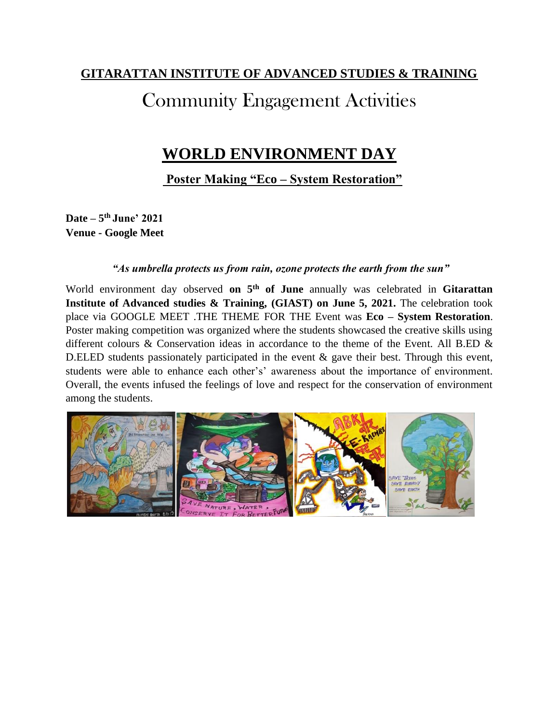### **GITARATTAN INSTITUTE OF ADVANCED STUDIES & TRAINING**

# Community Engagement Activities

### **WORLD ENVIRONMENT DAY**

**Poster Making "Eco – System Restoration"**

**Date – 5 th June' 2021 Venue - Google Meet**

#### *"As umbrella protects us from rain, ozone protects the earth from the sun"*

World environment day observed **on 5th of June** annually was celebrated in **Gitarattan Institute of Advanced studies & Training, (GIAST) on June 5, 2021.** The celebration took place via GOOGLE MEET .THE THEME FOR THE Event was **Eco – System Restoration**. Poster making competition was organized where the students showcased the creative skills using different colours & Conservation ideas in accordance to the theme of the Event. All B.ED & D.ELED students passionately participated in the event  $\&$  gave their best. Through this event, students were able to enhance each other's' awareness about the importance of environment. Overall, the events infused the feelings of love and respect for the conservation of environment among the students.

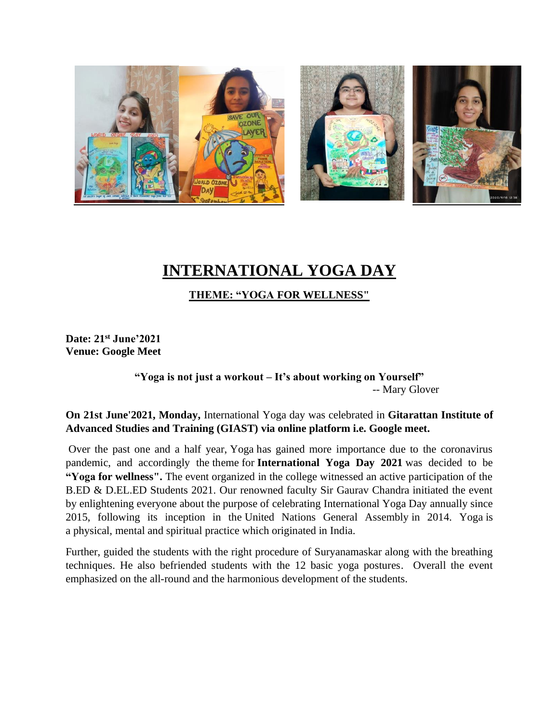

# **INTERNATIONAL YOGA DAY**

**THEME: "YOGA FOR WELLNESS"**

**Date: 21st June'2021 Venue: Google Meet**

> **"Yoga is not just a workout – It's about working on Yourself"**  -- Mary Glover

**On 21st June'2021, Monday,** International Yoga day was celebrated in **Gitarattan Institute of Advanced Studies and Training (GIAST) via online platform i.e. Google meet.**

Over the past one and a half year, Yoga has gained more importance due to the coronavirus pandemic, and accordingly the theme for **International Yoga Day 2021** was decided to be **"Yoga for wellness".** The event organized in the college witnessed an active participation of the B.ED & D.EL.ED Students 2021. Our renowned faculty Sir Gaurav Chandra initiated the event by enlightening everyone about the purpose of celebrating International Yoga Day annually since 2015, following its inception in the United Nations General Assembly in 2014. Yoga is a physical, mental and spiritual practice which originated in India.

Further, guided the students with the right procedure of Suryanamaskar along with the breathing techniques. He also befriended students with the 12 basic yoga postures. Overall the event emphasized on the all-round and the harmonious development of the students.